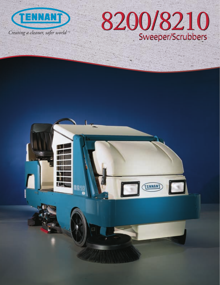

# 8200/8210 Sweeper/Scrubbers

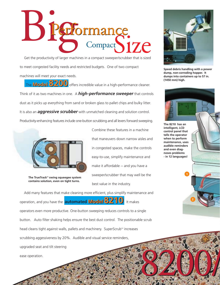

Get the productivity of larger machines in a compact sweeper/scrubber that is sized to meet congested facility needs and restricted budgets. One of two compact machines will meet your exact needs.

**Model 8200** The **Model 8200** offers incredible value in a high-performance cleaner. Think of it as two machines in one. A *high-performance sweeper* that controls dust as it picks up everything from sand or broken glass to pallet chips and bulky litter. It is also an *aggressive scrubber* with unmatched cleaning and solution control. Productivity-enhancing features include one-button scrubbing and all levers forward sweeping.



The TrueTrack<sup>™</sup> swing squeegee system **contains solution, even on tight turns.**

Combine these features in a machine that maneuvers down narrow aisles and in congested spaces, make the controls easy-to-use, simplify maintenance and make it affordable -- and you have a sweeper/scrubber that may well be the best value in the industry.

8200/ **Model8210** operation, and you have the **automated Model8210**. It makes Add many features that make cleaning more efficient, plus simplify maintenance and operators even more productive. One-button sweeping reduces controls to a single button. Auto filter shaking helps ensure the best dust control. The positionable scrub head cleans tight against walls, pallets and machinery. SuperScrub<sup>™</sup> increases scrubbing aggessiveness by 20%. Audible and visual service reminders, upgraded seat and tilt steering ease operation.



**Speed debris handling with a power dump, non-corroding hopper. It dumps into containers up to 57 in. (1450 mm) high.**



**2**

**The 8210 has an intelligent, LCD control panel that tells the operator when to perform maintenance, uses audible reminders and even diagnoses problems - in 12 languages!**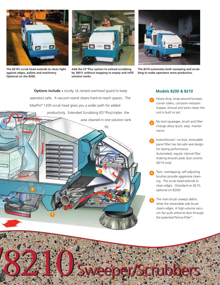

**The 8210's scrub head extends to clean tight against edges, pallets and machinery. Optional on the 8200.**



Add the ES<sup>™</sup>Plus system to extend scrubbing **by 360% without stopping to empty and refill solution tanks.**



**The 8210 automates both sweeping and scrubbing to make operators more productive.**

**Options include** a sturdy, UL-tested overhead guard to keep operators safe. A vacuum wand cleans hard-to-reach spaces. The MaxPro® 1200 scrub head gives you a wider path for added productivity. Extended Scrubbing (ES™Plus) triples the



**8210**Sweeper/Scrubbers

## **Models 8200 & 8210**

- Heavy-duty, wrap-around bumper, corner rollers, corrosion-resistant hopper, shroud and tanks mean the unit is built to last.
- No-tool squeegee, brush and filter change allow quick, easy maintenance. **2**
- InstantAccess™ no-tool, removable panel filter has fail-safe seal design for lasting performance. Automated, regular interval filter shaking ensures peak dust control. (8210 only) **3**
- Twin, overlapping, self-adjusting brushes provide aggressive cleaning. The scrub head extends to clean edges. (Standard on 8210, optional on 8200) **4**
- The main brush sweeps debris while the retractable side brush cleans edges. A high-volume vacuum fan pulls airborne dust through the patented Perma-Filter™. **5**